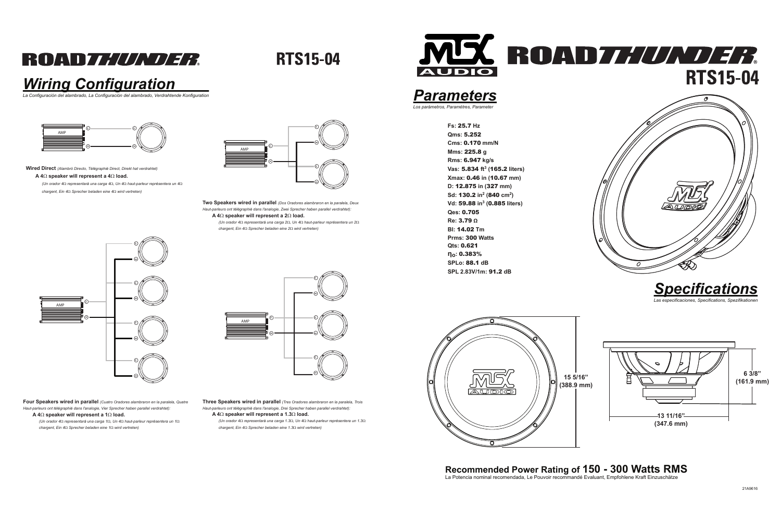## ROAD*THUNDER*

**RTS15-04** 

### *Wiring Configuration*

*La Configuración del alambrado, La Configuración del alambrado, Verdrahtende Konfiguration*

## **Recommended Power Rating of 150 - 300 Watts RMS** La Potencia nominal recomendada, Le Pouvoir recommandé Evaluant, Empfohlene Kraft Einzuschätze









**Wired Direct** *(Alambró Directo, Télégraphié Direct, Direkt hat verdrahtet)*

### **A 4**Ω **speaker will represent a 4**Ω **load.**

*(Un orador 4*Ω *representará una carga 4*Ω*, Un 4*Ω *haut-parleur représentera un 4*Ω*chargent, Ein 4*Ω *Sprecher beladen eine 4*Ω *wird vertreten)*

> **Two Speakers wired in parallel** *(Dos Oradores alambraron en la paralela, Deux Haut-parleurs ont télégraphié dans l'analogie, Zwei Sprecher haben parallel verdrahtet):***A 4**Ω **speaker will represent a 2**Ω **load.**



*(Un orador 4*Ω *representará una carga 2*Ω*, Un 4*Ω *haut-parleur représentera un 2*Ω*chargent, Ein 4*Ω *Sprecher beladen eine 2*Ω *wird vertreten)*

**Four Speakers wired in parallel** *(Cuatro Oradores alambraron en la paralela, Quatre Haut-parleurs ont télégraphié dans l'analogie, Vier Sprecher haben parallel verdrahtet):***A 4**Ω **speaker will represent a 1**Ω **load.**

 *(Un orador 4*Ω *representará una carga 1*Ω*, Un 4*Ω *haut-parleur représentera un 1*Ω*chargent, Ein 4*Ω *Sprecher beladen eine 1*Ω *wird vertreten)*

**Three Speakers wired in parallel** *(Tres Oradores alambraron en la paralela, Trois Haut-parleurs ont télégraphié dans l'analogie, Drei Sprecher haben parallel verdrahtet):***A 4**Ω **speaker will represent a 1.3**Ω **load.**

 *(Un orador 4*Ω *representará una carga 1.3*Ω*, Un 4*Ω *haut-parleur représentera un 1.3*Ω*chargent, Ein 4*Ω *Sprecher beladen eine 1.3*Ω *wird vertreten)*